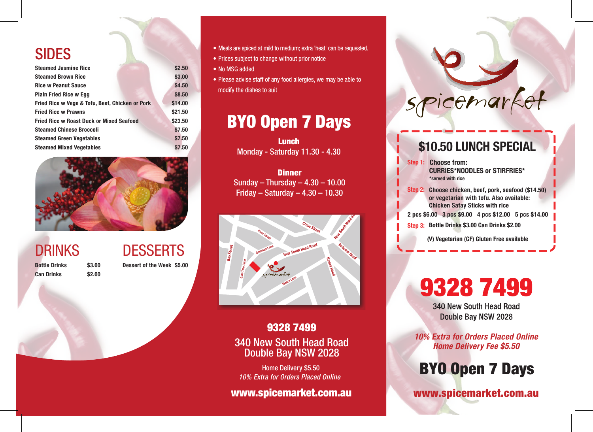### SIDES

| \$2,50  |
|---------|
| \$3,00  |
| \$4.50  |
| \$8.50  |
| \$14.00 |
| \$21.50 |
| \$23.50 |
| \$7.50  |
| \$7.50  |
| \$7.50  |
|         |



## DRINKS DESSERTS

**Can Drinks \$2.00**

**Bottle Drinks \$3.00 Dessert of the Week \$5.00**

- Meals are spiced at mild to medium; extra 'heat' can be requested.
- Prices subject to change without prior notice
- No MSG added
- Please advise staff of any food allergies, we may be able to modify the dishes to suit

## BYO Open 7 Days

Lunch Monday - Saturday 11.30 - 4.30

**Dinner** Sunday – Thursday – 4.30 – 10.00 Friday – Saturday – 4.30 – 10.30 **Choose chicken, beef, pork, seafood (\$14.50)** 



#### 9328 7499 340 New South Head Road

Double Bay NSW 2028

Home Delivery \$5.50 *10% Extra for Orders Placed Online*

www.spicemarket.com.au

#### **\$10.50 LUNCH SPECIAL**

spicemarket

**Choose from:**  $\bullet$ **CURRIES\*NOODLES or STIRFRIES\* \*served with rice**

- Step 2: Choose chicken, beef, pork, seafood (\$14.50) **or vegetarian with tofu. Also available: Chicken Satay Sticks with rice**
- **2 pcs \$6.00 3 pcs \$9.00 4 pcs \$12.00 5 pcs \$14.00**
- **Step 3: Bottle Drinks \$3.00 Can Drinks \$2.00**

**(V) Vegetarian (GF) Gluten Free available**

9328 7499

340 New South Head Road Double Bay NSW 2028

**10% Extra for Orders Placed Online Home Delivery Fee \$5.50**

## BYO Open 7 Days

www.spicemarket.com.au